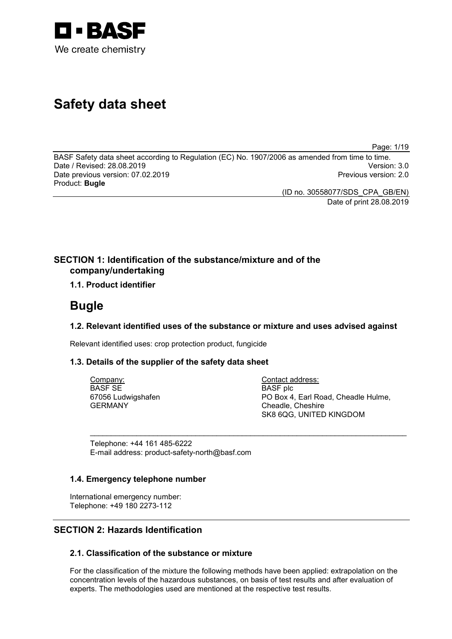

# **Safety data sheet**

Page: 1/19

BASF Safety data sheet according to Regulation (EC) No. 1907/2006 as amended from time to time. Date / Revised: 28.08.2019 Version: 3.0 Date previous version: 07.02.2019 Product: **Bugle**

(ID no. 30558077/SDS\_CPA\_GB/EN) Date of print 28.08.2019

### **SECTION 1: Identification of the substance/mixture and of the company/undertaking**

### **1.1. Product identifier**

## **Bugle**

### **1.2. Relevant identified uses of the substance or mixture and uses advised against**

\_\_\_\_\_\_\_\_\_\_\_\_\_\_\_\_\_\_\_\_\_\_\_\_\_\_\_\_\_\_\_\_\_\_\_\_\_\_\_\_\_\_\_\_\_\_\_\_\_\_\_\_\_\_\_\_\_\_\_\_\_\_\_\_\_\_\_\_\_\_\_\_\_\_\_

Relevant identified uses: crop protection product, fungicide

### **1.3. Details of the supplier of the safety data sheet**

Company: BASF SE 67056 Ludwigshafen GERMANY

Contact address: BASF plc PO Box 4, Earl Road, Cheadle Hulme, Cheadle, Cheshire SK8 6QG, UNITED KINGDOM

Telephone: +44 161 485-6222 E-mail address: product-safety-north@basf.com

### **1.4. Emergency telephone number**

International emergency number: Telephone: +49 180 2273-112

### **SECTION 2: Hazards Identification**

### **2.1. Classification of the substance or mixture**

For the classification of the mixture the following methods have been applied: extrapolation on the concentration levels of the hazardous substances, on basis of test results and after evaluation of experts. The methodologies used are mentioned at the respective test results.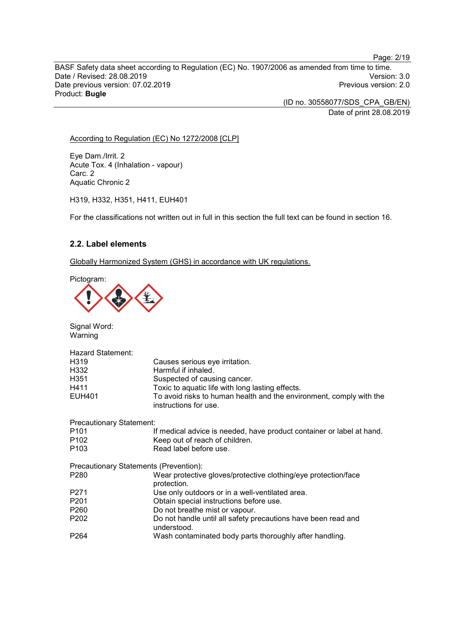BASF Safety data sheet according to Regulation (EC) No. 1907/2006 as amended from time to time. Date / Revised: 28.08.2019 Version: 3.0 Date previous version: 07.02.2019 Product: **Bugle**

> (ID no. 30558077/SDS\_CPA\_GB/EN) Date of print 28.08.2019

### According to Regulation (EC) No 1272/2008 [CLP]

Eye Dam./Irrit. 2 Acute Tox. 4 (Inhalation - vapour) Carc. 2 Aquatic Chronic 2

H319, H332, H351, H411, EUH401

For the classifications not written out in full in this section the full text can be found in section 16.

### **2.2. Label elements**

Globally Harmonized System (GHS) in accordance with UK regulations.

Pictogram:



Signal Word: Warning

| <b>Hazard Statement:</b>        |                                                                                              |
|---------------------------------|----------------------------------------------------------------------------------------------|
| H319                            | Causes serious eye irritation.                                                               |
| H332                            | Harmful if inhaled.                                                                          |
| H351                            | Suspected of causing cancer.                                                                 |
| H411                            | Toxic to aquatic life with long lasting effects.                                             |
| <b>EUH401</b>                   | To avoid risks to human health and the environment, comply with the<br>instructions for use. |
| <b>Precautionary Statement:</b> |                                                                                              |
| P <sub>101</sub>                | If medical advice is needed, have product container or label at hand.                        |
| P <sub>102</sub>                | Keep out of reach of children.                                                               |
| P <sub>103</sub>                | Read label before use.                                                                       |
|                                 | Precautionary Statements (Prevention):                                                       |
| P <sub>280</sub>                | Wear protective gloves/protective clothing/eye protection/face<br>protection.                |
| P271                            | Use only outdoors or in a well-ventilated area.                                              |
| P <sub>201</sub>                | Obtain special instructions before use.                                                      |
| P <sub>260</sub>                | Do not breathe mist or vapour.                                                               |
| P <sub>202</sub>                | Do not handle until all safety precautions have been read and<br>understood.                 |
| P <sub>264</sub>                | Wash contaminated body parts thoroughly after handling.                                      |

#### Page: 2/19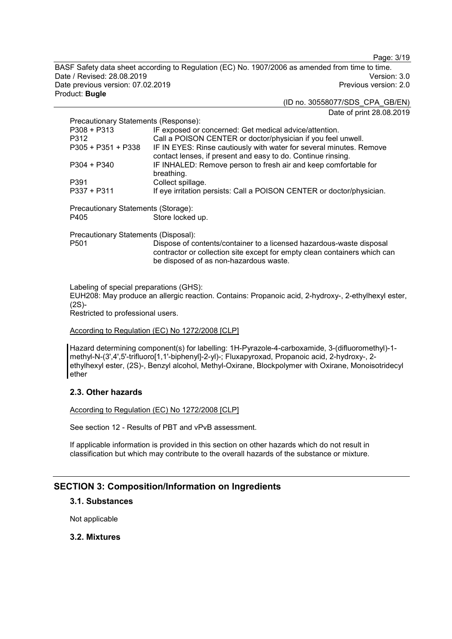Page: 3/19

BASF Safety data sheet according to Regulation (EC) No. 1907/2006 as amended from time to time. Date / Revised: 28.08.2019 Version: 3.0 Date previous version: 07.02.2019 Product: **Bugle**

#### (ID no. 30558077/SDS\_CPA\_GB/EN) Date of print 28.08.2019

| Precautionary Statements (Response):                                                                   |                                                                                                                                     |
|--------------------------------------------------------------------------------------------------------|-------------------------------------------------------------------------------------------------------------------------------------|
| $P308 + P313$                                                                                          | IF exposed or concerned: Get medical advice/attention.                                                                              |
| P312                                                                                                   | Call a POISON CENTER or doctor/physician if you feel unwell.                                                                        |
| $P305 + P351 + P338$                                                                                   | IF IN EYES: Rinse cautiously with water for several minutes. Remove<br>contact lenses, if present and easy to do. Continue rinsing. |
| $P304 + P340$                                                                                          | IF INHALED: Remove person to fresh air and keep comfortable for<br>breathing.                                                       |
| P391                                                                                                   | Collect spillage.                                                                                                                   |
| $P337 + P311$                                                                                          | If eye irritation persists: Call a POISON CENTER or doctor/physician.                                                               |
| $R_{\rm max}$ . The state of $R_{\rm max}$ is the state of $R_{\rm max}$ is the state of $R_{\rm max}$ |                                                                                                                                     |

Precautionary Statements (Storage): Store locked up.

Precautionary Statements (Disposal): Dispose of contents/container to a licensed hazardous-waste disposal contractor or collection site except for empty clean containers which can be disposed of as non-hazardous waste.

Labeling of special preparations (GHS): EUH208: May produce an allergic reaction. Contains: Propanoic acid, 2-hydroxy-, 2-ethylhexyl ester, (2S)- Restricted to professional users.

### According to Regulation (EC) No 1272/2008 [CLP]

Hazard determining component(s) for labelling: 1H-Pyrazole-4-carboxamide, 3-(difluoromethyl)-1 methyl-N-(3',4',5'-trifluoro[1,1'-biphenyl]-2-yl)-; Fluxapyroxad, Propanoic acid, 2-hydroxy-, 2 ethylhexyl ester, (2S)-, Benzyl alcohol, Methyl-Oxirane, Blockpolymer with Oxirane, Monoisotridecyl ether

### **2.3. Other hazards**

According to Regulation (EC) No 1272/2008 [CLP]

See section 12 - Results of PBT and vPvB assessment.

If applicable information is provided in this section on other hazards which do not result in classification but which may contribute to the overall hazards of the substance or mixture.

### **SECTION 3: Composition/Information on Ingredients**

### **3.1. Substances**

Not applicable

### **3.2. Mixtures**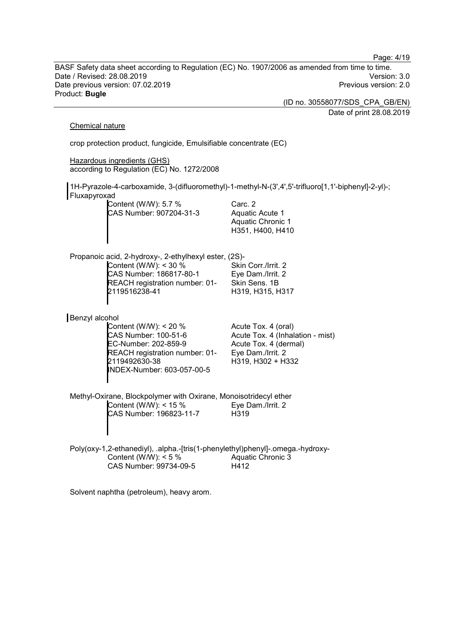Date / Revised: 28.08.2019 Version: 3.0 Date previous version: 07.02.2019 Product: **Bugle** (ID no. 30558077/SDS\_CPA\_GB/EN) Date of print 28.08.2019 Chemical nature crop protection product, fungicide, Emulsifiable concentrate (EC) Hazardous ingredients (GHS) according to Regulation (EC) No. 1272/2008 1H-Pyrazole-4-carboxamide, 3-(difluoromethyl)-1-methyl-N-(3',4',5'-trifluoro[1,1'-biphenyl]-2-yl)-; Fluxapyroxad Content (W/W): 5.7 % CAS Number: 907204-31-3 Carc. 2 Aquatic Acute 1 Aquatic Chronic 1 H351, H400, H410 Propanoic acid, 2-hydroxy-, 2-ethylhexyl ester, (2S)- Content (W/W): < 30 % CAS Number: 186817-80-1 REACH registration number: 01- 2119516238-41 Skin Corr./Irrit. 2 Eye Dam./Irrit. 2 Skin Sens. 1B H319, H315, H317 Benzyl alcohol Content (W/W): < 20 % CAS Number: 100-51-6 EC-Number: 202-859-9 REACH registration number: 01- 2119492630-38 INDEX-Number: 603-057-00-5 Acute Tox. 4 (oral) Acute Tox. 4 (Inhalation - mist) Acute Tox. 4 (dermal) Eye Dam./Irrit. 2 H319, H302 + H332 Methyl-Oxirane, Blockpolymer with Oxirane, Monoisotridecyl ether Content (W/W): < 15 % CAS Number: 196823-11-7 Eye Dam./Irrit. 2 H319 Poly(oxy-1,2-ethanediyl), .alpha.-[tris(1-phenylethyl)phenyl]-.omega.-hydroxy-Content (W/W):  $< 5 \%$ CAS Number: 99734-09-5 Aquatic Chronic 3 H412

BASF Safety data sheet according to Regulation (EC) No. 1907/2006 as amended from time to time.

Page: 4/19

Solvent naphtha (petroleum), heavy arom.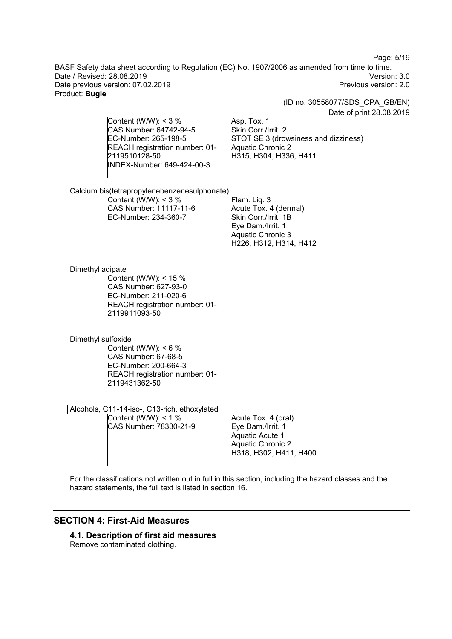Page: 5/19

BASF Safety data sheet according to Regulation (EC) No. 1907/2006 as amended from time to time. Date / Revised: 28.08.2019 Version: 3.0 Date previous version: 07.02.2019 Product: **Bugle**

(ID no. 30558077/SDS\_CPA\_GB/EN)

Date of print 28.08.2019

Content (W/W):  $<$  3 % CAS Number: 64742-94-5 EC-Number: 265-198-5 REACH registration number: 01- 2119510128-50 INDEX-Number: 649-424-00-3

Asp. Tox. 1 Skin Corr./Irrit. 2 STOT SE 3 (drowsiness and dizziness) Aquatic Chronic 2 H315, H304, H336, H411

Calcium bis(tetrapropylenebenzenesulphonate) Content (W/W):  $<$  3 % CAS Number: 11117-11-6 EC-Number: 234-360-7 Flam. Liq. 3

Acute Tox. 4 (dermal) Skin Corr./Irrit. 1B Eye Dam./Irrit. 1 Aquatic Chronic 3 H226, H312, H314, H412

Dimethyl adipate Content (W/W): < 15 % CAS Number: 627-93-0 EC-Number: 211-020-6 REACH registration number: 01- 2119911093-50

Dimethyl sulfoxide Content (W/W):  $< 6 \%$ CAS Number: 67-68-5 EC-Number: 200-664-3 REACH registration number: 01- 2119431362-50

Alcohols, C11-14-iso-, C13-rich, ethoxylated Content (W/W):  $< 1 \%$ CAS Number: 78330-21-9

Acute Tox. 4 (oral) Eye Dam./Irrit. 1 Aquatic Acute 1 Aquatic Chronic 2 H318, H302, H411, H400

For the classifications not written out in full in this section, including the hazard classes and the hazard statements, the full text is listed in section 16.

### **SECTION 4: First-Aid Measures**

**4.1. Description of first aid measures** Remove contaminated clothing.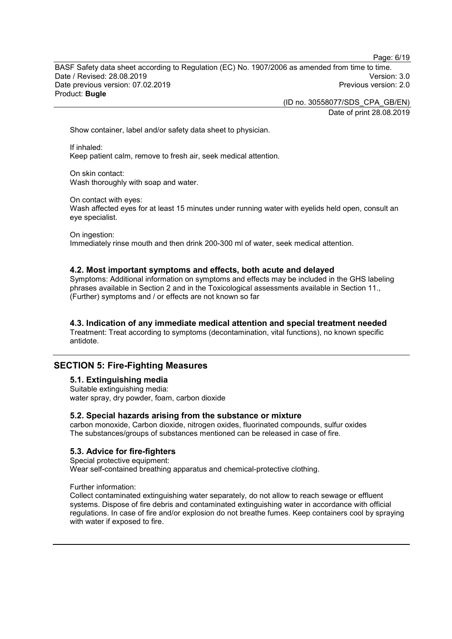Page: 6/19

BASF Safety data sheet according to Regulation (EC) No. 1907/2006 as amended from time to time. Date / Revised: 28.08.2019 Version: 3.0 Date previous version: 07.02.2019 Product: **Bugle**

> (ID no. 30558077/SDS\_CPA\_GB/EN) Date of print 28.08.2019

Show container, label and/or safety data sheet to physician.

If inhaled: Keep patient calm, remove to fresh air, seek medical attention.

On skin contact: Wash thoroughly with soap and water.

On contact with eyes:

Wash affected eyes for at least 15 minutes under running water with eyelids held open, consult an eye specialist.

On ingestion:

Immediately rinse mouth and then drink 200-300 ml of water, seek medical attention.

#### **4.2. Most important symptoms and effects, both acute and delayed**

Symptoms: Additional information on symptoms and effects may be included in the GHS labeling phrases available in Section 2 and in the Toxicological assessments available in Section 11., (Further) symptoms and / or effects are not known so far

### **4.3. Indication of any immediate medical attention and special treatment needed**

Treatment: Treat according to symptoms (decontamination, vital functions), no known specific antidote.

### **SECTION 5: Fire-Fighting Measures**

### **5.1. Extinguishing media**

Suitable extinguishing media: water spray, dry powder, foam, carbon dioxide

#### **5.2. Special hazards arising from the substance or mixture**

carbon monoxide, Carbon dioxide, nitrogen oxides, fluorinated compounds, sulfur oxides The substances/groups of substances mentioned can be released in case of fire.

#### **5.3. Advice for fire-fighters**

Special protective equipment:

Wear self-contained breathing apparatus and chemical-protective clothing.

Further information:

Collect contaminated extinguishing water separately, do not allow to reach sewage or effluent systems. Dispose of fire debris and contaminated extinguishing water in accordance with official regulations. In case of fire and/or explosion do not breathe fumes. Keep containers cool by spraying with water if exposed to fire.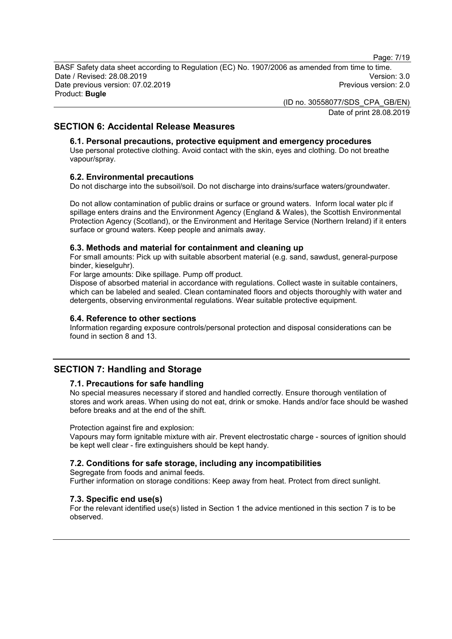Page: 7/19

BASF Safety data sheet according to Regulation (EC) No. 1907/2006 as amended from time to time. Date / Revised: 28.08.2019 Version: 3.0 Date previous version: 07.02.2019 Product: **Bugle**

> (ID no. 30558077/SDS\_CPA\_GB/EN) Date of print 28.08.2019

### **SECTION 6: Accidental Release Measures**

### **6.1. Personal precautions, protective equipment and emergency procedures**

Use personal protective clothing. Avoid contact with the skin, eyes and clothing. Do not breathe vapour/spray.

#### **6.2. Environmental precautions**

Do not discharge into the subsoil/soil. Do not discharge into drains/surface waters/groundwater.

Do not allow contamination of public drains or surface or ground waters. Inform local water plc if spillage enters drains and the Environment Agency (England & Wales), the Scottish Environmental Protection Agency (Scotland), or the Environment and Heritage Service (Northern Ireland) if it enters surface or ground waters. Keep people and animals away.

### **6.3. Methods and material for containment and cleaning up**

For small amounts: Pick up with suitable absorbent material (e.g. sand, sawdust, general-purpose binder, kieselguhr).

For large amounts: Dike spillage. Pump off product.

Dispose of absorbed material in accordance with regulations. Collect waste in suitable containers, which can be labeled and sealed. Clean contaminated floors and objects thoroughly with water and detergents, observing environmental regulations. Wear suitable protective equipment.

#### **6.4. Reference to other sections**

Information regarding exposure controls/personal protection and disposal considerations can be found in section 8 and 13.

### **SECTION 7: Handling and Storage**

#### **7.1. Precautions for safe handling**

No special measures necessary if stored and handled correctly. Ensure thorough ventilation of stores and work areas. When using do not eat, drink or smoke. Hands and/or face should be washed before breaks and at the end of the shift.

#### Protection against fire and explosion:

Vapours may form ignitable mixture with air. Prevent electrostatic charge - sources of ignition should be kept well clear - fire extinguishers should be kept handy.

#### **7.2. Conditions for safe storage, including any incompatibilities**

Segregate from foods and animal feeds. Further information on storage conditions: Keep away from heat. Protect from direct sunlight.

#### **7.3. Specific end use(s)**

For the relevant identified use(s) listed in Section 1 the advice mentioned in this section 7 is to be observed.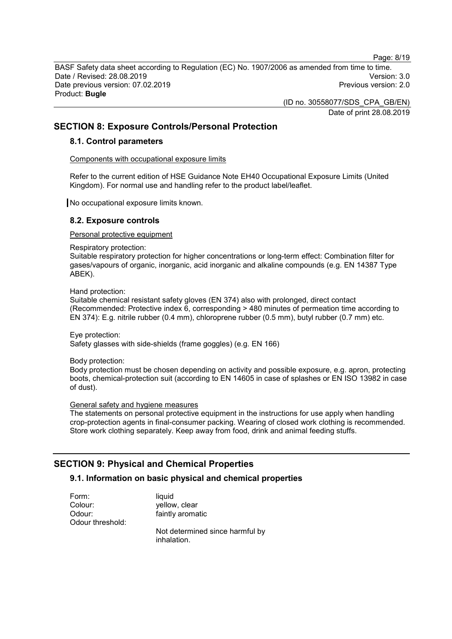Page: 8/19

BASF Safety data sheet according to Regulation (EC) No. 1907/2006 as amended from time to time. Date / Revised: 28.08.2019 Version: 3.0 Date previous version: 07.02.2019 Product: **Bugle**

> (ID no. 30558077/SDS\_CPA\_GB/EN) Date of print 28.08.2019

### **SECTION 8: Exposure Controls/Personal Protection**

#### **8.1. Control parameters**

Components with occupational exposure limits

Refer to the current edition of HSE Guidance Note EH40 Occupational Exposure Limits (United Kingdom). For normal use and handling refer to the product label/leaflet.

No occupational exposure limits known.

### **8.2. Exposure controls**

Personal protective equipment

Respiratory protection:

Suitable respiratory protection for higher concentrations or long-term effect: Combination filter for gases/vapours of organic, inorganic, acid inorganic and alkaline compounds (e.g. EN 14387 Type ABEK).

Hand protection:

Suitable chemical resistant safety gloves (EN 374) also with prolonged, direct contact (Recommended: Protective index 6, corresponding > 480 minutes of permeation time according to EN 374): E.g. nitrile rubber (0.4 mm), chloroprene rubber (0.5 mm), butyl rubber (0.7 mm) etc.

Eye protection: Safety glasses with side-shields (frame goggles) (e.g. EN 166)

Body protection:

Body protection must be chosen depending on activity and possible exposure, e.g. apron, protecting boots, chemical-protection suit (according to EN 14605 in case of splashes or EN ISO 13982 in case of dust).

### General safety and hygiene measures

The statements on personal protective equipment in the instructions for use apply when handling crop-protection agents in final-consumer packing. Wearing of closed work clothing is recommended. Store work clothing separately. Keep away from food, drink and animal feeding stuffs.

### **SECTION 9: Physical and Chemical Properties**

### **9.1. Information on basic physical and chemical properties**

| Form:            | liquid                                         |
|------------------|------------------------------------------------|
| Colour:          | yellow, clear                                  |
| Odour:           | faintly aromatic                               |
| Odour threshold: |                                                |
|                  | Not determined since harmful by<br>inhalation. |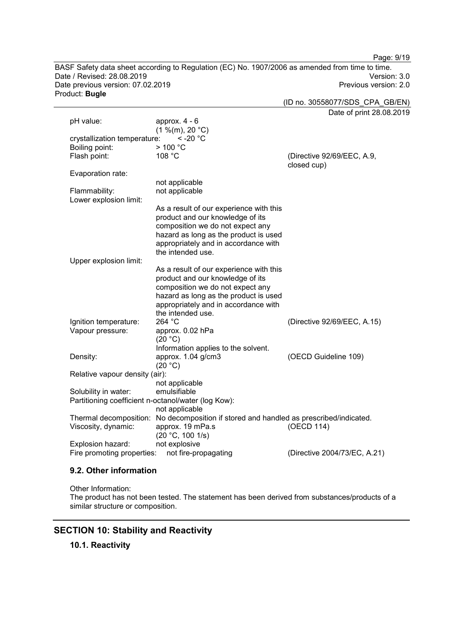BASF Safety data sheet according to Regulation (EC) No. 1907/2006 as amended from time to time. Date / Revised: 28.08.2019 Version: 3.0 Date previous version: 07.02.2019 Product: **Bugle**

Page: 9/19

(ID no. 30558077/SDS\_CPA\_GB/EN) Date of print 28.08.2019 pH value: approx. 4 - 6  $(1 \frac{\%}{m}), 20 \degree C$ )<br>e: < -20  $\degree C$ crystallization temperature:  $\leq$  -<br>Boiling point:  $>$  100 °C Boiling point:  $> 100$ <br>Flash point:  $108$  °C (Directive 92/69/EEC, A.9, closed cup) Evaporation rate: not applicable Flammability: not applicable Lower explosion limit: As a result of our experience with this product and our knowledge of its composition we do not expect any hazard as long as the product is used appropriately and in accordance with the intended use. Upper explosion limit: As a result of our experience with this product and our knowledge of its composition we do not expect any hazard as long as the product is used appropriately and in accordance with the intended use.<br>264  $^{\circ}$ C Ignition temperature: 264 °C<br>Vapour pressure: approx. 0.02 hPa Vapour pressure: (20 °C) Information applies to the solvent. Density: approx. 1.04 g/cm3  $(20 °C)$ (OECD Guideline 109) Relative vapour density (air): not applicable Solubility in water: emulsifiable Partitioning coefficient n-octanol/water (log Kow): not applicable Thermal decomposition: No decomposition if stored and handled as prescribed/indicated.<br>Viscosity, dynamic: approx. 19 mPa.s (OECD 114) Viscosity, dynamic:  $(20 °C, 100 1/s)$ <br>not explosive (OECD 114) Explosion hazard: Fire promoting properties: not fire-propagating (Directive 2004/73/EC, A.21)

### **9.2. Other information**

Other Information:

The product has not been tested. The statement has been derived from substances/products of a similar structure or composition.

### **SECTION 10: Stability and Reactivity**

**10.1. Reactivity**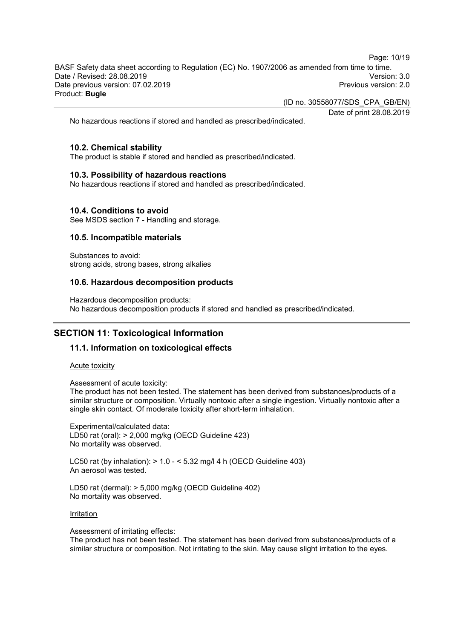Page: 10/19

BASF Safety data sheet according to Regulation (EC) No. 1907/2006 as amended from time to time. Date / Revised: 28.08.2019 Version: 3.0 Date previous version: 07.02.2019 Product: **Bugle**

(ID no. 30558077/SDS\_CPA\_GB/EN)

Date of print 28.08.2019

No hazardous reactions if stored and handled as prescribed/indicated.

### **10.2. Chemical stability**

The product is stable if stored and handled as prescribed/indicated.

#### **10.3. Possibility of hazardous reactions**

No hazardous reactions if stored and handled as prescribed/indicated.

### **10.4. Conditions to avoid**

See MSDS section 7 - Handling and storage.

### **10.5. Incompatible materials**

Substances to avoid: strong acids, strong bases, strong alkalies

### **10.6. Hazardous decomposition products**

Hazardous decomposition products: No hazardous decomposition products if stored and handled as prescribed/indicated.

### **SECTION 11: Toxicological Information**

#### **11.1. Information on toxicological effects**

Acute toxicity

Assessment of acute toxicity:

The product has not been tested. The statement has been derived from substances/products of a similar structure or composition. Virtually nontoxic after a single ingestion. Virtually nontoxic after a single skin contact. Of moderate toxicity after short-term inhalation.

Experimental/calculated data: LD50 rat (oral): > 2,000 mg/kg (OECD Guideline 423) No mortality was observed.

LC50 rat (by inhalation): > 1.0 - < 5.32 mg/l 4 h (OECD Guideline 403) An aerosol was tested.

LD50 rat (dermal): > 5,000 mg/kg (OECD Guideline 402) No mortality was observed.

Irritation

Assessment of irritating effects:

The product has not been tested. The statement has been derived from substances/products of a similar structure or composition. Not irritating to the skin. May cause slight irritation to the eyes.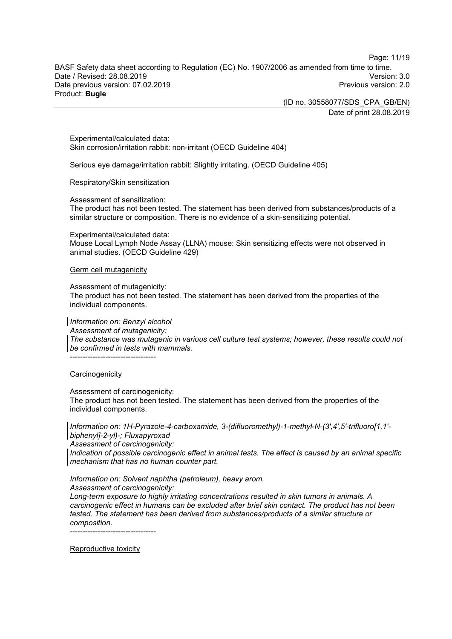Page: 11/19

BASF Safety data sheet according to Regulation (EC) No. 1907/2006 as amended from time to time. Date / Revised: 28.08.2019 Version: 3.0 Date previous version: 07.02.2019 Product: **Bugle**

> (ID no. 30558077/SDS\_CPA\_GB/EN) Date of print 28.08.2019

Experimental/calculated data: Skin corrosion/irritation rabbit: non-irritant (OECD Guideline 404)

Serious eye damage/irritation rabbit: Slightly irritating. (OECD Guideline 405)

#### Respiratory/Skin sensitization

Assessment of sensitization:

The product has not been tested. The statement has been derived from substances/products of a similar structure or composition. There is no evidence of a skin-sensitizing potential.

Experimental/calculated data:

Mouse Local Lymph Node Assay (LLNA) mouse: Skin sensitizing effects were not observed in animal studies. (OECD Guideline 429)

#### Germ cell mutagenicity

Assessment of mutagenicity:

The product has not been tested. The statement has been derived from the properties of the individual components.

*Information on: Benzyl alcohol*

*Assessment of mutagenicity:*

*The substance was mutagenic in various cell culture test systems; however, these results could not be confirmed in tests with mammals.*

----------------------------------

#### **Carcinogenicity**

Assessment of carcinogenicity:

The product has not been tested. The statement has been derived from the properties of the individual components.

*Information on: 1H-Pyrazole-4-carboxamide, 3-(difluoromethyl)-1-methyl-N-(3',4',5'-trifluoro[1,1' biphenyl]-2-yl)-; Fluxapyroxad*

*Assessment of carcinogenicity:*

*Indication of possible carcinogenic effect in animal tests. The effect is caused by an animal specific mechanism that has no human counter part.*

*Information on: Solvent naphtha (petroleum), heavy arom. Assessment of carcinogenicity:*

*Long-term exposure to highly irritating concentrations resulted in skin tumors in animals. A carcinogenic effect in humans can be excluded after brief skin contact. The product has not been tested. The statement has been derived from substances/products of a similar structure or composition.*

----------------------------------

Reproductive toxicity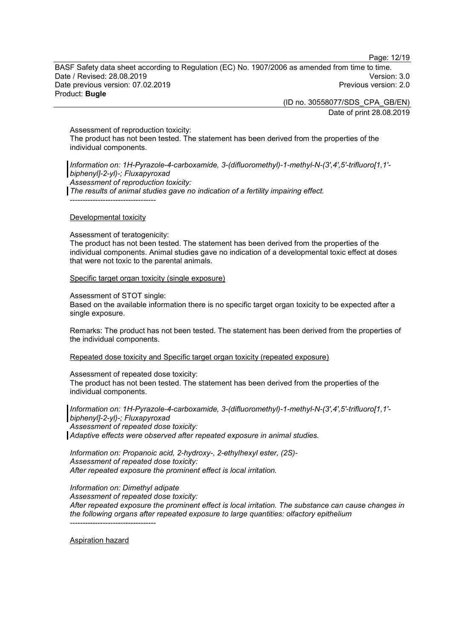Page: 12/19

BASF Safety data sheet according to Regulation (EC) No. 1907/2006 as amended from time to time. Date / Revised: 28.08.2019 Version: 3.0 Date previous version: 07.02.2019 Product: **Bugle**

> (ID no. 30558077/SDS\_CPA\_GB/EN) Date of print 28.08.2019

Assessment of reproduction toxicity:

The product has not been tested. The statement has been derived from the properties of the individual components.

*Information on: 1H-Pyrazole-4-carboxamide, 3-(difluoromethyl)-1-methyl-N-(3',4',5'-trifluoro[1,1' biphenyl]-2-yl)-; Fluxapyroxad Assessment of reproduction toxicity: The results of animal studies gave no indication of a fertility impairing effect.*

----------------------------------

#### Developmental toxicity

Assessment of teratogenicity:

The product has not been tested. The statement has been derived from the properties of the individual components. Animal studies gave no indication of a developmental toxic effect at doses that were not toxic to the parental animals.

Specific target organ toxicity (single exposure)

Assessment of STOT single:

Based on the available information there is no specific target organ toxicity to be expected after a single exposure.

Remarks: The product has not been tested. The statement has been derived from the properties of the individual components.

Repeated dose toxicity and Specific target organ toxicity (repeated exposure)

#### Assessment of repeated dose toxicity:

The product has not been tested. The statement has been derived from the properties of the individual components.

*Information on: 1H-Pyrazole-4-carboxamide, 3-(difluoromethyl)-1-methyl-N-(3',4',5'-trifluoro[1,1' biphenyl]-2-yl)-; Fluxapyroxad Assessment of repeated dose toxicity: Adaptive effects were observed after repeated exposure in animal studies.*

*Information on: Propanoic acid, 2-hydroxy-, 2-ethylhexyl ester, (2S)- Assessment of repeated dose toxicity: After repeated exposure the prominent effect is local irritation.*

*Information on: Dimethyl adipate*

*Assessment of repeated dose toxicity:*

*After repeated exposure the prominent effect is local irritation. The substance can cause changes in the following organs after repeated exposure to large quantities: olfactory epithelium* ----------------------------------

Aspiration hazard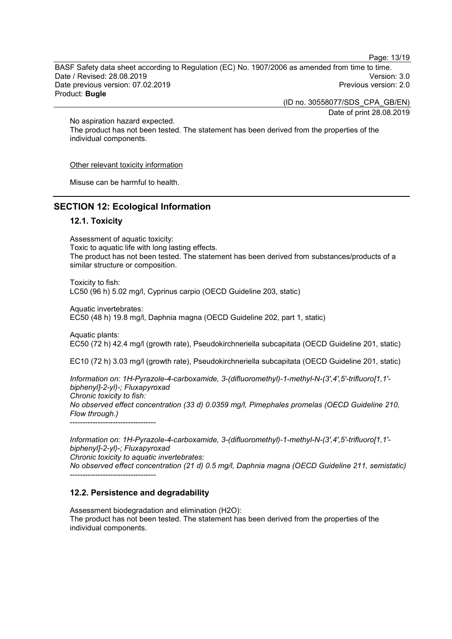Page: 13/19

BASF Safety data sheet according to Regulation (EC) No. 1907/2006 as amended from time to time. Date / Revised: 28.08.2019 Version: 3.0 Date previous version: 07.02.2019 Product: **Bugle**

> (ID no. 30558077/SDS\_CPA\_GB/EN) Date of print 28.08.2019

No aspiration hazard expected.

The product has not been tested. The statement has been derived from the properties of the individual components.

#### Other relevant toxicity information

Misuse can be harmful to health.

### **SECTION 12: Ecological Information**

### **12.1. Toxicity**

Assessment of aquatic toxicity: Toxic to aquatic life with long lasting effects. The product has not been tested. The statement has been derived from substances/products of a similar structure or composition.

Toxicity to fish: LC50 (96 h) 5.02 mg/l, Cyprinus carpio (OECD Guideline 203, static)

Aquatic invertebrates: EC50 (48 h) 19.8 mg/l, Daphnia magna (OECD Guideline 202, part 1, static)

Aquatic plants: EC50 (72 h) 42.4 mg/l (growth rate), Pseudokirchneriella subcapitata (OECD Guideline 201, static)

EC10 (72 h) 3.03 mg/l (growth rate), Pseudokirchneriella subcapitata (OECD Guideline 201, static)

*Information on: 1H-Pyrazole-4-carboxamide, 3-(difluoromethyl)-1-methyl-N-(3',4',5'-trifluoro[1,1' biphenyl]-2-yl)-; Fluxapyroxad Chronic toxicity to fish: No observed effect concentration (33 d) 0.0359 mg/l, Pimephales promelas (OECD Guideline 210, Flow through.)* ----------------------------------

*Information on: 1H-Pyrazole-4-carboxamide, 3-(difluoromethyl)-1-methyl-N-(3',4',5'-trifluoro[1,1' biphenyl]-2-yl)-; Fluxapyroxad*

*Chronic toxicity to aquatic invertebrates:*

----------------------------------

*No observed effect concentration (21 d) 0.5 mg/l, Daphnia magna (OECD Guideline 211, semistatic)*

#### **12.2. Persistence and degradability**

Assessment biodegradation and elimination (H2O): The product has not been tested. The statement has been derived from the properties of the individual components.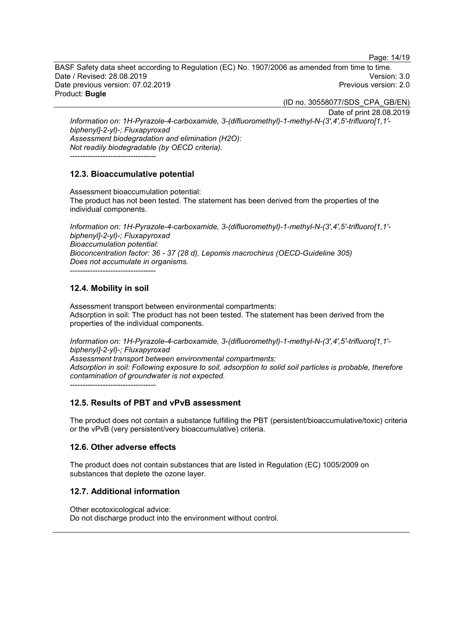Page: 14/19

BASF Safety data sheet according to Regulation (EC) No. 1907/2006 as amended from time to time. Date / Revised: 28.08.2019 Version: 3.0 Date previous version: 07.02.2019 Product: **Bugle**

(ID no. 30558077/SDS\_CPA\_GB/EN)

Date of print 28.08.2019

*Information on: 1H-Pyrazole-4-carboxamide, 3-(difluoromethyl)-1-methyl-N-(3',4',5'-trifluoro[1,1' biphenyl]-2-yl)-; Fluxapyroxad Assessment biodegradation and elimination (H2O): Not readily biodegradable (by OECD criteria).* ----------------------------------

### **12.3. Bioaccumulative potential**

Assessment bioaccumulation potential: The product has not been tested. The statement has been derived from the properties of the individual components.

*Information on: 1H-Pyrazole-4-carboxamide, 3-(difluoromethyl)-1-methyl-N-(3',4',5'-trifluoro[1,1' biphenyl]-2-yl)-; Fluxapyroxad Bioaccumulation potential: Bioconcentration factor: 36 - 37 (28 d), Lepomis macrochirus (OECD-Guideline 305) Does not accumulate in organisms.*

----------------------------------

### **12.4. Mobility in soil**

Assessment transport between environmental compartments: Adsorption in soil: The product has not been tested. The statement has been derived from the properties of the individual components.

*Information on: 1H-Pyrazole-4-carboxamide, 3-(difluoromethyl)-1-methyl-N-(3',4',5'-trifluoro[1,1' biphenyl]-2-yl)-; Fluxapyroxad Assessment transport between environmental compartments: Adsorption in soil: Following exposure to soil, adsorption to solid soil particles is probable, therefore contamination of groundwater is not expected.*

----------------------------------

### **12.5. Results of PBT and vPvB assessment**

The product does not contain a substance fulfilling the PBT (persistent/bioaccumulative/toxic) criteria or the vPvB (very persistent/very bioaccumulative) criteria.

### **12.6. Other adverse effects**

The product does not contain substances that are listed in Regulation (EC) 1005/2009 on substances that deplete the ozone layer.

### **12.7. Additional information**

Other ecotoxicological advice: Do not discharge product into the environment without control.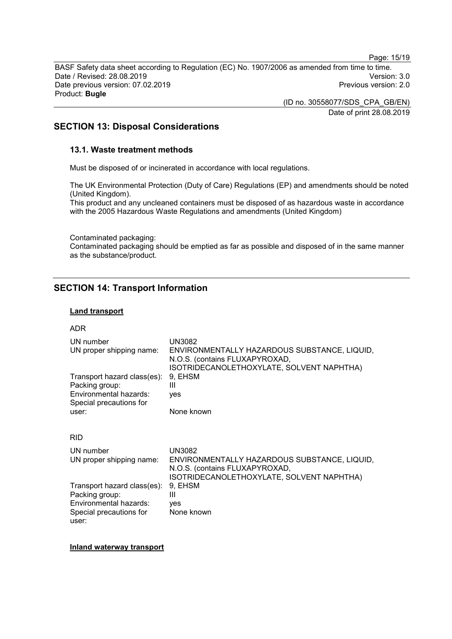Page: 15/19

BASF Safety data sheet according to Regulation (EC) No. 1907/2006 as amended from time to time. Date / Revised: 28.08.2019 Version: 3.0 Date previous version: 07.02.2019 Product: **Bugle**

> (ID no. 30558077/SDS\_CPA\_GB/EN) Date of print 28.08.2019

### **SECTION 13: Disposal Considerations**

### **13.1. Waste treatment methods**

Must be disposed of or incinerated in accordance with local regulations.

The UK Environmental Protection (Duty of Care) Regulations (EP) and amendments should be noted (United Kingdom).

This product and any uncleaned containers must be disposed of as hazardous waste in accordance with the 2005 Hazardous Waste Regulations and amendments (United Kingdom)

Contaminated packaging: Contaminated packaging should be emptied as far as possible and disposed of in the same manner as the substance/product.

### **SECTION 14: Transport Information**

### **Land transport**

#### ADR

| UN3082<br>ENVIRONMENTALLY HAZARDOUS SUBSTANCE, LIQUID,<br>N.O.S. (contains FLUXAPYROXAD,<br>ISOTRIDECANOLETHOXYLATE, SOLVENT NAPHTHA) |
|---------------------------------------------------------------------------------------------------------------------------------------|
| 9, EHSM<br>Ш<br>ves                                                                                                                   |
| None known                                                                                                                            |
|                                                                                                                                       |
| UN3082<br>ENVIRONMENTALLY HAZARDOUS SUBSTANCE, LIQUID,<br>N.O.S. (contains FLUXAPYROXAD,<br>ISOTRIDECANOLETHOXYLATE, SOLVENT NAPHTHA) |
| 9, EHSM<br>Ш<br>yes<br>None known                                                                                                     |
|                                                                                                                                       |

#### **Inland waterway transport**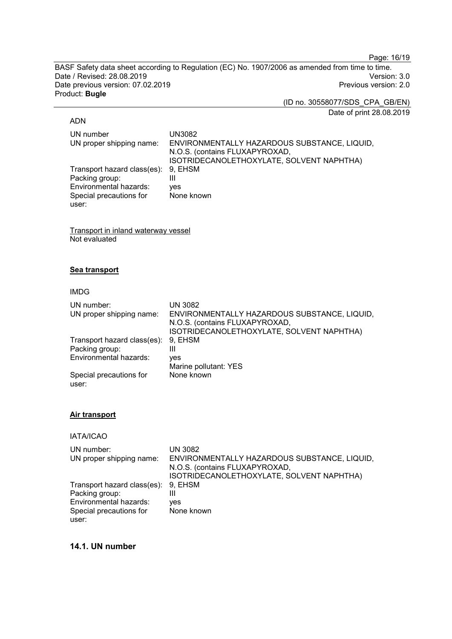Page: 16/19

BASF Safety data sheet according to Regulation (EC) No. 1907/2006 as amended from time to time. Date / Revised: 28.08.2019<br>
Date previous version: 07.02.2019<br>
Previous version: 2.0 Date previous version: 07.02.2019 Product: **Bugle**

> (ID no. 30558077/SDS\_CPA\_GB/EN) Date of print 28.08.2019

#### ADN

| UN number                           | UN3082                                       |
|-------------------------------------|----------------------------------------------|
| UN proper shipping name:            | ENVIRONMENTALLY HAZARDOUS SUBSTANCE, LIQUID, |
|                                     | N.O.S. (contains FLUXAPYROXAD,               |
|                                     | ISOTRIDECANOLETHOXYLATE, SOLVENT NAPHTHA)    |
| Transport hazard class(es): 9, EHSM |                                              |
| Packing group:                      | Ш                                            |
| Environmental hazards:              | ves                                          |
| Special precautions for             | None known                                   |
| user:                               |                                              |

Transport in inland waterway vessel Not evaluated

### **Sea transport**

#### IMDG

| UN number:<br>UN proper shipping name: | UN 3082<br>ENVIRONMENTALLY HAZARDOUS SUBSTANCE, LIQUID,<br>N.O.S. (contains FLUXAPYROXAD,<br>ISOTRIDECANOLETHOXYLATE, SOLVENT NAPHTHA) |
|----------------------------------------|----------------------------------------------------------------------------------------------------------------------------------------|
| Transport hazard class(es):            | 9, EHSM                                                                                                                                |
| Packing group:                         | Ш                                                                                                                                      |
| Environmental hazards:                 | ves                                                                                                                                    |
|                                        | Marine pollutant: YES                                                                                                                  |
| Special precautions for<br>user:       | None known                                                                                                                             |

### **Air transport**

### IATA/ICAO

| UN number:                  | UN 3082                                      |
|-----------------------------|----------------------------------------------|
| UN proper shipping name:    | ENVIRONMENTALLY HAZARDOUS SUBSTANCE, LIQUID, |
|                             | N.O.S. (contains FLUXAPYROXAD,               |
|                             | ISOTRIDECANOLETHOXYLATE, SOLVENT NAPHTHA)    |
| Transport hazard class(es): | 9. EHSM                                      |
| Packing group:              | Ш                                            |
| Environmental hazards:      | ves                                          |
| Special precautions for     | None known                                   |
| user:                       |                                              |

### **14.1. UN number**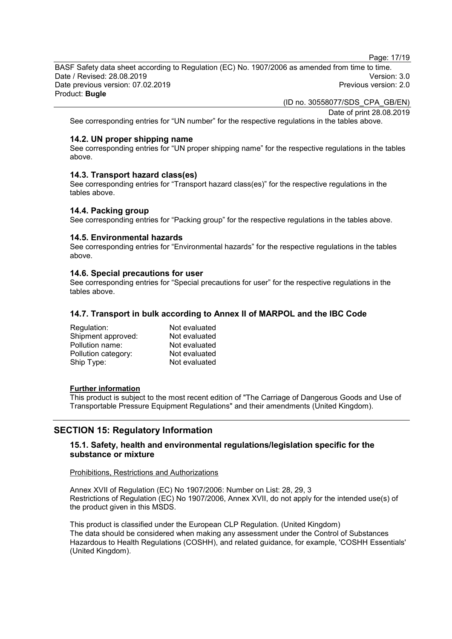Page: 17/19

BASF Safety data sheet according to Regulation (EC) No. 1907/2006 as amended from time to time. Date / Revised: 28.08.2019 Version: 3.0 Date previous version: 07.02.2019 Product: **Bugle**

(ID no. 30558077/SDS\_CPA\_GB/EN)

Date of print 28.08.2019

See corresponding entries for "UN number" for the respective regulations in the tables above.

#### **14.2. UN proper shipping name**

See corresponding entries for "UN proper shipping name" for the respective regulations in the tables above.

### **14.3. Transport hazard class(es)**

See corresponding entries for "Transport hazard class(es)" for the respective regulations in the tables above.

### **14.4. Packing group**

See corresponding entries for "Packing group" for the respective regulations in the tables above.

#### **14.5. Environmental hazards**

See corresponding entries for "Environmental hazards" for the respective regulations in the tables above.

#### **14.6. Special precautions for user**

See corresponding entries for "Special precautions for user" for the respective regulations in the tables above.

### **14.7. Transport in bulk according to Annex II of MARPOL and the IBC Code**

| Not evaluated |
|---------------|
| Not evaluated |
| Not evaluated |
| Not evaluated |
| Not evaluated |
|               |

#### **Further information**

This product is subject to the most recent edition of "The Carriage of Dangerous Goods and Use of Transportable Pressure Equipment Regulations" and their amendments (United Kingdom).

### **SECTION 15: Regulatory Information**

### **15.1. Safety, health and environmental regulations/legislation specific for the substance or mixture**

#### Prohibitions, Restrictions and Authorizations

Annex XVII of Regulation (EC) No 1907/2006: Number on List: 28, 29, 3 Restrictions of Regulation (EC) No 1907/2006, Annex XVII, do not apply for the intended use(s) of the product given in this MSDS.

This product is classified under the European CLP Regulation. (United Kingdom) The data should be considered when making any assessment under the Control of Substances Hazardous to Health Regulations (COSHH), and related guidance, for example, 'COSHH Essentials' (United Kingdom).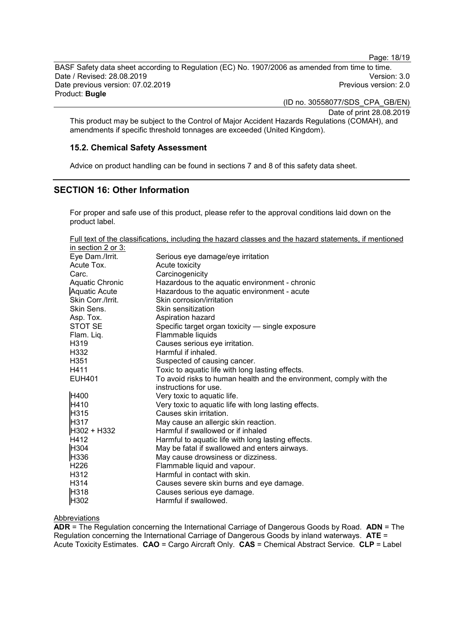Page: 18/19

BASF Safety data sheet according to Regulation (EC) No. 1907/2006 as amended from time to time. Date / Revised: 28.08.2019 Version: 3.0 Date previous version: 07.02.2019 Product: **Bugle**

(ID no. 30558077/SDS\_CPA\_GB/EN)

Date of print 28.08.2019

This product may be subject to the Control of Major Accident Hazards Regulations (COMAH), and amendments if specific threshold tonnages are exceeded (United Kingdom).

### **15.2. Chemical Safety Assessment**

Advice on product handling can be found in sections 7 and 8 of this safety data sheet.

### **SECTION 16: Other Information**

For proper and safe use of this product, please refer to the approval conditions laid down on the product label.

Full text of the classifications, including the hazard classes and the hazard statements, if mentioned in section 2 or 3:

| $11000000111 - 0100001$ |                                                                     |
|-------------------------|---------------------------------------------------------------------|
| Eye Dam./Irrit.         | Serious eye damage/eye irritation                                   |
| Acute Tox.              | Acute toxicity                                                      |
| Carc.                   | Carcinogenicity                                                     |
| Aquatic Chronic         | Hazardous to the aquatic environment - chronic                      |
| <b>Aquatic Acute</b>    | Hazardous to the aquatic environment - acute                        |
| Skin Corr./Irrit.       | Skin corrosion/irritation                                           |
| Skin Sens.              | Skin sensitization                                                  |
| Asp. Tox.               | Aspiration hazard                                                   |
| STOT SE                 | Specific target organ toxicity - single exposure                    |
| Flam. Liq.              | Flammable liquids                                                   |
| H319                    | Causes serious eye irritation.                                      |
| H332                    | Harmful if inhaled.                                                 |
| H <sub>351</sub>        | Suspected of causing cancer.                                        |
| H411                    | Toxic to aquatic life with long lasting effects.                    |
| <b>EUH401</b>           | To avoid risks to human health and the environment, comply with the |
|                         | instructions for use.                                               |
| H400                    | Very toxic to aquatic life.                                         |
| <b>H410</b>             | Very toxic to aquatic life with long lasting effects.               |
| H315                    | Causes skin irritation.                                             |
| H317                    | May cause an allergic skin reaction.                                |
| H302 + H332             | Harmful if swallowed or if inhaled                                  |
| H412                    | Harmful to aquatic life with long lasting effects.                  |
| H304                    | May be fatal if swallowed and enters airways.                       |
| H336                    | May cause drowsiness or dizziness.                                  |
| H <sub>226</sub>        | Flammable liquid and vapour.                                        |
| H312                    | Harmful in contact with skin.                                       |
| H314                    | Causes severe skin burns and eye damage.                            |
| H318                    | Causes serious eye damage.                                          |
| H302                    | Harmful if swallowed.                                               |

Abbreviations

**ADR** = The Regulation concerning the International Carriage of Dangerous Goods by Road. **ADN** = The Regulation concerning the International Carriage of Dangerous Goods by inland waterways. **ATE** = Acute Toxicity Estimates. **CAO** = Cargo Aircraft Only. **CAS** = Chemical Abstract Service. **CLP** = Label